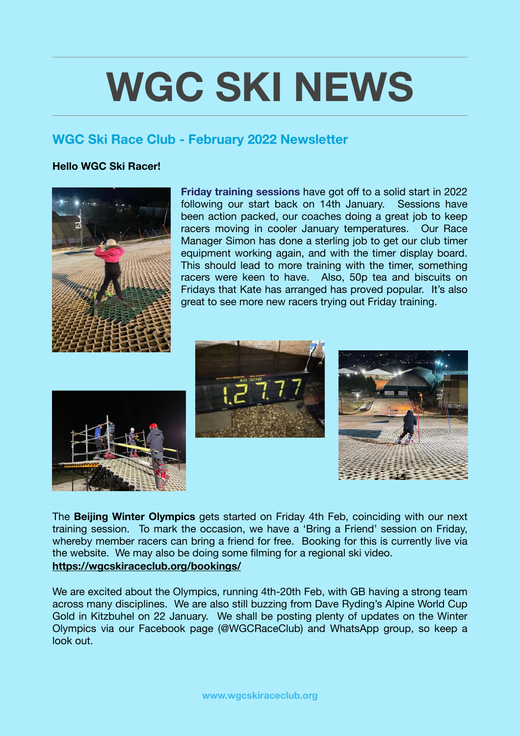## **WGC SKI NEWS**

## **WGC Ski Race Club - February 2022 Newsletter**

## **Hello WGC Ski Racer!**



**Friday training sessions** have got off to a solid start in 2022 following our start back on 14th January. Sessions have been action packed, our coaches doing a great job to keep racers moving in cooler January temperatures. Our Race Manager Simon has done a sterling job to get our club timer equipment working again, and with the timer display board. This should lead to more training with the timer, something racers were keen to have. Also, 50p tea and biscuits on Fridays that Kate has arranged has proved popular. It's also great to see more new racers trying out Friday training.







The **Beijing Winter Olympics** gets started on Friday 4th Feb, coinciding with our next training session. To mark the occasion, we have a 'Bring a Friend' session on Friday, whereby member racers can bring a friend for free. Booking for this is currently live via the website. We may also be doing some filming for a regional ski video. **<https://wgcskiraceclub.org/bookings/>**

We are excited about the Olympics, running 4th-20th Feb, with GB having a strong team across many disciplines. We are also still buzzing from Dave Ryding's Alpine World Cup Gold in Kitzbuhel on 22 January. We shall be posting plenty of updates on the Winter Olympics via our Facebook page (@WGCRaceClub) and WhatsApp group, so keep a look out.